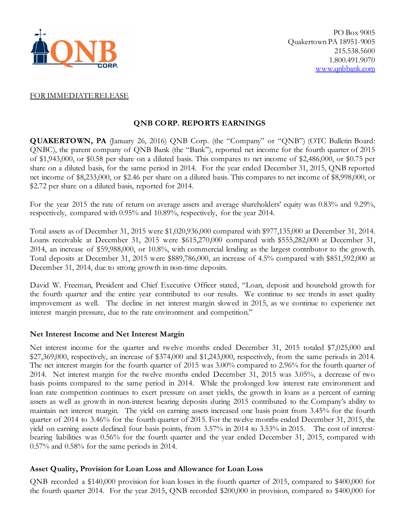

## FOR IMMEDIATE RELEASE

# **QNB CORP. REPORTS EARNINGS**

**QUAKERTOWN, PA** (January 26, 2016) QNB Corp. (the "Company" or "QNB") (OTC Bulletin Board: QNBC), the parent company of QNB Bank (the "Bank"), reported net income for the fourth quarter of 2015 of \$1,943,000, or \$0.58 per share on a diluted basis. This compares to net income of \$2,486,000, or \$0.75 per share on a diluted basis, for the same period in 2014. For the year ended December 31, 2015, QNB reported net income of \$8,233,000, or \$2.46 per share on a diluted basis. This compares to net income of \$8,998,000, or \$2.72 per share on a diluted basis, reported for 2014.

For the year 2015 the rate of return on average assets and average shareholders' equity was 0.83% and 9.29%, respectively, compared with 0.95% and 10.89%, respectively, for the year 2014.

Total assets as of December 31, 2015 were \$1,020,936,000 compared with \$977,135,000 at December 31, 2014. Loans receivable at December 31, 2015 were \$615,270,000 compared with \$555,282,000 at December 31, 2014, an increase of \$59,988,000, or 10.8%, with commercial lending as the largest contributor to the growth. Total deposits at December 31, 2015 were \$889,786,000, an increase of 4.5% compared with \$851,592,000 at December 31, 2014, due to strong growth in non-time deposits.

David W. Freeman, President and Chief Executive Officer stated, "Loan, deposit and household growth for the fourth quarter and the entire year contributed to our results. We continue to see trends in asset quality improvement as well. The decline in net interest margin slowed in 2015, as we continue to experience net interest margin pressure, due to the rate environment and competition."

## **Net Interest Income and Net Interest Margin**

Net interest income for the quarter and twelve months ended December 31, 2015 totaled \$7,025,000 and \$27,369,000, respectively, an increase of \$374,000 and \$1,243,000, respectively, from the same periods in 2014. The net interest margin for the fourth quarter of 2015 was 3.00% compared to 2.96% for the fourth quarter of 2014. Net interest margin for the twelve months ended December 31, 2015 was 3.05%, a decrease of two basis points compared to the same period in 2014. While the prolonged low interest rate environment and loan rate competition continues to exert pressure on asset yields, the growth in loans as a percent of earning assets as well as growth in non-interest bearing deposits during 2015 contributed to the Company's ability to maintain net interest margin. The yield on earning assets increased one basis point from 3.45% for the fourth quarter of 2014 to 3.46% for the fourth quarter of 2015. For the twelve months ended December 31, 2015, the yield on earning assets declined four basis points, from 3.57% in 2014 to 3.53% in 2015. The cost of interestbearing liabilities was 0.56% for the fourth quarter and the year ended December 31, 2015, compared with 0.57% and 0.58% for the same periods in 2014.

## **Asset Quality, Provision for Loan Loss and Allowance for Loan Loss**

QNB recorded a \$140,000 provision for loan losses in the fourth quarter of 2015, compared to \$400,000 for the fourth quarter 2014. For the year 2015, QNB recorded \$200,000 in provision, compared to \$400,000 for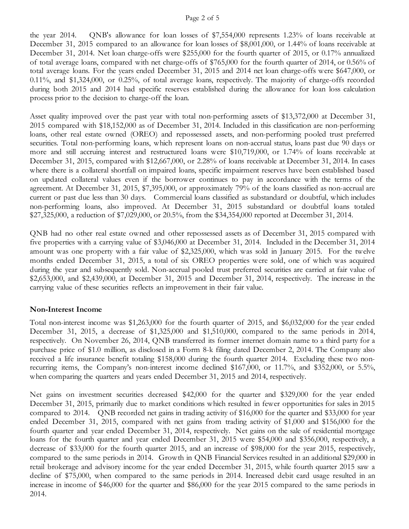#### Page 2 of 5

the year 2014. QNB's allowance for loan losses of \$7,554,000 represents 1.23% of loans receivable at December 31, 2015 compared to an allowance for loan losses of \$8,001,000, or 1.44% of loans receivable at December 31, 2014. Net loan charge-offs were \$255,000 for the fourth quarter of 2015, or 0.17% annualized of total average loans, compared with net charge-offs of \$765,000 for the fourth quarter of 2014, or 0.56% of total average loans. For the years ended December 31, 2015 and 2014 net loan charge-offs were \$647,000, or 0.11%, and \$1,324,000, or 0.25%, of total average loans, respectively. The majority of charge-offs recorded during both 2015 and 2014 had specific reserves established during the allowance for loan loss calculation process prior to the decision to charge-off the loan.

Asset quality improved over the past year with total non-performing assets of \$13,372,000 at December 31, 2015 compared with \$18,152,000 as of December 31, 2014. Included in this classification are non-performing loans, other real estate owned (OREO) and repossessed assets, and non-performing pooled trust preferred securities. Total non-performing loans, which represent loans on non-accrual status, loans past due 90 days or more and still accruing interest and restructured loans were \$10,719,000, or 1.74% of loans receivable at December 31, 2015, compared with \$12,667,000, or 2.28% of loans receivable at December 31, 2014. In cases where there is a collateral shortfall on impaired loans, specific impairment reserves have been established based on updated collateral values even if the borrower continues to pay in accordance with the terms of the agreement. At December 31, 2015, \$7,395,000, or approximately 79% of the loans classified as non-accrual are current or past due less than 30 days. Commercial loans classified as substandard or doubtful, which includes non-performing loans, also improved. At December 31, 2015 substandard or doubtful loans totaled \$27,325,000, a reduction of \$7,029,000, or 20.5%, from the \$34,354,000 reported at December 31, 2014.

QNB had no other real estate owned and other repossessed assets as of December 31, 2015 compared with five properties with a carrying value of \$3,046,000 at December 31, 2014. Included in the December 31, 2014 amount was one property with a fair value of \$2,325,000, which was sold in January 2015. For the twelve months ended December 31, 2015, a total of six OREO properties were sold, one of which was acquired during the year and subsequently sold. Non-accrual pooled trust preferred securities are carried at fair value of \$2,653,000, and \$2,439,000, at December 31, 2015 and December 31, 2014, respectively. The increase in the carrying value of these securities reflects an improvement in their fair value.

## **Non-Interest Income**

Total non-interest income was \$1,263,000 for the fourth quarter of 2015, and \$6,032,000 for the year ended December 31, 2015, a decrease of \$1,325,000 and \$1,510,000, compared to the same periods in 2014, respectively. On November 26, 2014, QNB transferred its former internet domain name to a third party for a purchase price of \$1.0 million, as disclosed in a Form 8-k filing dated December 2, 2014. The Company also received a life insurance benefit totaling \$158,000 during the fourth quarter 2014. Excluding these two nonrecurring items, the Company's non-interest income declined \$167,000, or 11.7%, and \$352,000, or 5.5%, when comparing the quarters and years ended December 31, 2015 and 2014, respectively.

Net gains on investment securities decreased \$42,000 for the quarter and \$329,000 for the year ended December 31, 2015, primarily due to market conditions which resulted in fewer opportunities for sales in 2015 compared to 2014. QNB recorded net gains in trading activity of \$16,000 for the quarter and \$33,000 for year ended December 31, 2015, compared with net gains from trading activity of \$1,000 and \$156,000 for the fourth quarter and year ended December 31, 2014, respectively. Net gains on the sale of residential mortgage loans for the fourth quarter and year ended December 31, 2015 were \$54,000 and \$356,000, respectively, a decrease of \$33,000 for the fourth quarter 2015, and an increase of \$98,000 for the year 2015, respectively, compared to the same periods in 2014. Growth in QNB Financial Services resulted in an additional \$29,000 in retail brokerage and advisory income for the year ended December 31, 2015, while fourth quarter 2015 saw a decline of \$75,000, when compared to the same periods in 2014. Increased debit card usage resulted in an increase in income of \$46,000 for the quarter and \$86,000 for the year 2015 compared to the same periods in 2014.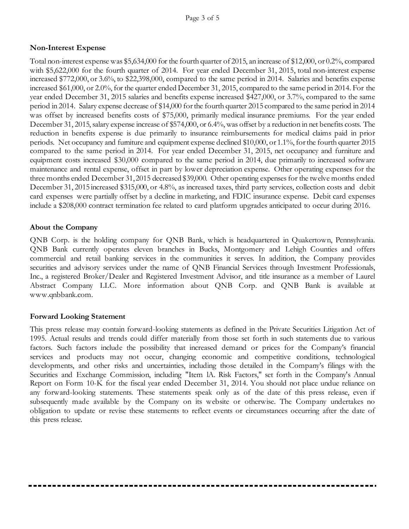## **Non-Interest Expense**

Total non-interest expense was \$5,634,000 for the fourth quarter of 2015, an increase of \$12,000, or 0.2%, compared with \$5,622,000 for the fourth quarter of 2014. For year ended December 31, 2015, total non-interest expense increased \$772,000, or 3.6%, to \$22,398,000, compared to the same period in 2014. Salaries and benefits expense increased \$61,000, or 2.0%, for the quarter ended December 31, 2015, compared to the same period in 2014. For the year ended December 31, 2015 salaries and benefits expense increased \$427,000, or 3.7%, compared to the same period in 2014. Salary expense decrease of \$14,000 for the fourth quarter 2015 compared to the same period in 2014 was offset by increased benefits costs of \$75,000, primarily medical insurance premiums. For the year ended December 31, 2015, salary expense increase of \$574,000, or 6.4%, was offset by a reduction in net benefits costs. The reduction in benefits expense is due primarily to insurance reimbursements for medical claims paid in prior periods. Net occupancy and furniture and equipment expense declined \$10,000, or 1.1%, for the fourth quarter 2015 compared to the same period in 2014. For year ended December 31, 2015, net occupancy and furniture and equipment costs increased \$30,000 compared to the same period in 2014, due primarily to increased software maintenance and rental expense, offset in part by lower depreciation expense. Other operating expenses for the three months ended December 31, 2015 decreased \$39,000. Other operating expenses for the twelve months ended December 31, 2015 increased \$315,000, or 4.8%, as increased taxes, third party services, collection costs and debit card expenses were partially offset by a decline in marketing, and FDIC insurance expense. Debit card expenses include a \$208,000 contract termination fee related to card platform upgrades anticipated to occur during 2016.

## **About the Company**

QNB Corp. is the holding company for QNB Bank, which is headquartered in Quakertown, Pennsylvania. QNB Bank currently operates eleven branches in Bucks, Montgomery and Lehigh Counties and offers commercial and retail banking services in the communities it serves. In addition, the Company provides securities and advisory services under the name of QNB Financial Services through Investment Professionals, Inc., a registered Broker/Dealer and Registered Investment Advisor, and title insurance as a member of Laurel Abstract Company LLC. More information about QNB Corp. and QNB Bank is available at www.qnbbank.com.

## **Forward Looking Statement**

This press release may contain forward-looking statements as defined in the Private Securities Litigation Act of 1995. Actual results and trends could differ materially from those set forth in such statements due to various factors. Such factors include the possibility that increased demand or prices for the Company's financial services and products may not occur, changing economic and competitive conditions, technological developments, and other risks and uncertainties, including those detailed in the Company's filings with the Securities and Exchange Commission, including "Item lA. Risk Factors," set forth in the Company's Annual Report on Form 10-K for the fiscal year ended December 31, 2014. You should not place undue reliance on any forward-looking statements. These statements speak only as of the date of this press release, even if subsequently made available by the Company on its website or otherwise. The Company undertakes no obligation to update or revise these statements to reflect events or circumstances occurring after the date of this press release.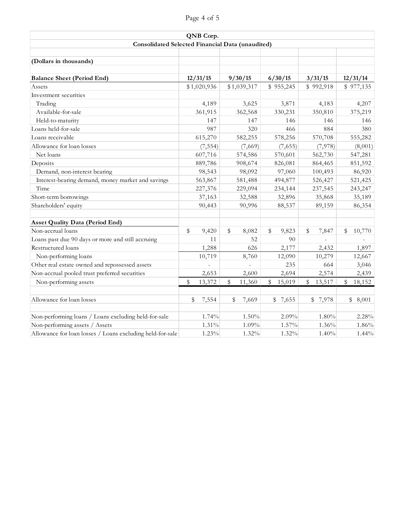| Page 4 of 5 |  |
|-------------|--|
|             |  |
|             |  |
|             |  |

|                                                           |             | QNB Corp.   |              |           |         |              |              |
|-----------------------------------------------------------|-------------|-------------|--------------|-----------|---------|--------------|--------------|
| Consolidated Selected Financial Data (unaudited)          |             |             |              |           |         |              |              |
|                                                           |             |             |              |           |         |              |              |
| (Dollars in thousands)                                    |             |             |              |           |         |              |              |
| <b>Balance Sheet (Period End)</b>                         |             | 12/31/15    | 9/30/15      | 6/30/15   |         | 3/31/15      | 12/31/14     |
| Assets                                                    |             | \$1,020,936 | \$1,039,317  | \$955,245 |         | \$992,918    | \$977,135    |
| Investment securities                                     |             |             |              |           |         |              |              |
| Trading                                                   |             | 4,189       | 3,625        |           | 3,871   | 4,183        | 4,207        |
| Available-for-sale                                        |             | 361,915     | 362,568      | 330,231   |         | 350,810      | 375,219      |
| Held-to-maturity                                          |             | 147         | 147          |           | 146     | 146          | 146          |
| Loans held-for-sale                                       |             | 987         | 320          |           | 466     | 884          | 380          |
| Loans receivable                                          |             | 615,270     | 582,255      | 578,256   |         | 570,708      | 555,282      |
| Allowance for loan losses                                 |             | (7, 554)    | (7,669)      |           | (7,655) | (7,978)      | (8,001)      |
| Net loans                                                 |             | 607,716     | 574,586      | 570,601   |         | 562,730      | 547,281      |
| Deposits                                                  |             | 889,786     | 908,674      | 826,081   |         | 864,465      | 851,592      |
| Demand, non-interest bearing                              |             | 98,543      | 98,092       |           | 97,060  | 100,493      | 86,920       |
| Interest-bearing demand, money market and savings         |             | 563,867     | 581,488      | 494,877   |         | 526,427      | 521,425      |
| Time                                                      |             | 227,376     | 229,094      | 234,144   |         | 237,545      | 243,247      |
| Short-term borrowings                                     |             | 37,163      | 32,588       |           | 32,896  | 35,868       | 35,189       |
| Shareholders' equity                                      |             | 90,443      | 90,996       |           | 88,537  | 89,159       | 86,354       |
| <b>Asset Quality Data (Period End)</b>                    |             |             |              |           |         |              |              |
| Non-accrual loans                                         | \$          | 9,420       | \$<br>8,082  | \$        | 9,823   | \$<br>7,847  | \$<br>10,770 |
| Loans past due 90 days or more and still accruing         |             | 11          | 52           |           | 90      |              |              |
| Restructured loans                                        |             | 1,288       | 626          |           | 2,177   | 2,432        | 1,897        |
| Non-performing loans                                      |             | 10,719      | 8,760        |           | 12,090  | 10,279       | 12,667       |
| Other real estate owned and repossessed assets            |             |             |              |           | 235     | 664          | 3,046        |
| Non-accrual pooled trust preferred securities             |             | 2,653       | 2,600        |           | 2,694   | 2,574        | 2,439        |
| Non-performing assets                                     | $\mathbb S$ | 13,372      | \$<br>11,360 | \$        | 15,019  | \$<br>13,517 | \$<br>18,152 |
| Allowance for loan losses                                 | \$          | 7,554       | \$<br>7,669  | \$7,655   |         | \$7,978      | \$<br>8,001  |
| Non-performing loans / Loans excluding held-for-sale      |             | 1.74%       | 1.50%        |           | 2.09%   | $1.80\%$     | 2.28%        |
| Non-performing assets / Assets                            |             | 1.31%       | 1.09%        |           | 1.57%   | 1.36%        | 1.86%        |
| Allowance for loan losses / Loans excluding held-for-sale |             | 1.23%       | 1.32%        |           | 1.32%   | 1.40%        | 1.44%        |